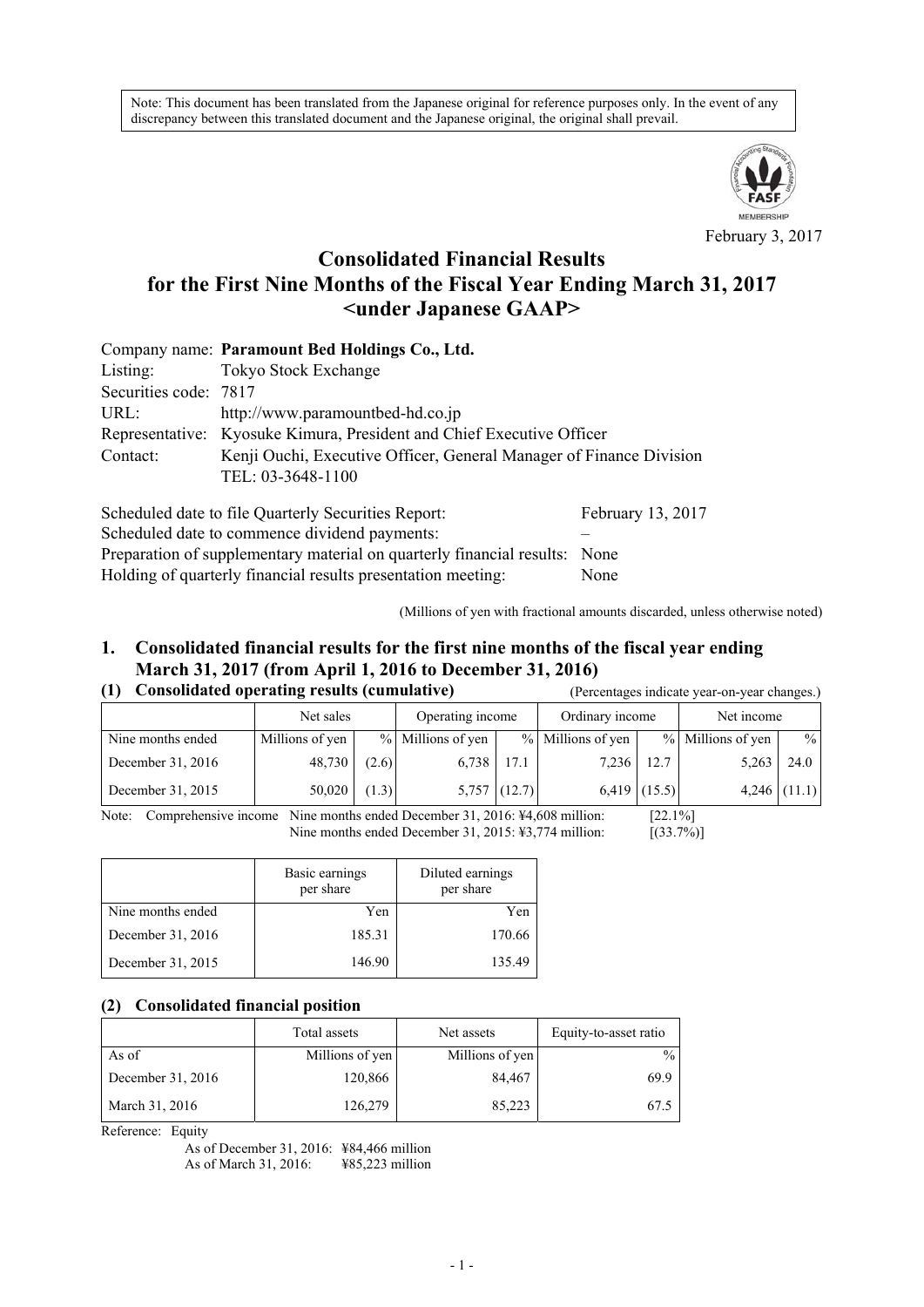Note: This document has been translated from the Japanese original for reference purposes only. In the event of any discrepancy between this translated document and the Japanese original, the original shall prevail.



February 3, 2017

# **Consolidated Financial Results for the First Nine Months of the Fiscal Year Ending March 31, 2017 <under Japanese GAAP>**

|                       | Company name: Paramount Bed Holdings Co., Ltd.                        |                   |  |  |  |  |  |  |
|-----------------------|-----------------------------------------------------------------------|-------------------|--|--|--|--|--|--|
| Listing:              | Tokyo Stock Exchange                                                  |                   |  |  |  |  |  |  |
| Securities code: 7817 |                                                                       |                   |  |  |  |  |  |  |
| URL:                  | http://www.paramountbed-hd.co.jp                                      |                   |  |  |  |  |  |  |
|                       | Representative: Kyosuke Kimura, President and Chief Executive Officer |                   |  |  |  |  |  |  |
| Contact:              | Kenji Ouchi, Executive Officer, General Manager of Finance Division   |                   |  |  |  |  |  |  |
|                       | TEL: 03-3648-1100                                                     |                   |  |  |  |  |  |  |
|                       | Scheduled date to file Quarterly Securities Report:                   | February 13, 2017 |  |  |  |  |  |  |

Scheduled date to commence dividend payments: – Preparation of supplementary material on quarterly financial results: None Holding of quarterly financial results presentation meeting: None

(Millions of yen with fractional amounts discarded, unless otherwise noted)

#### **1. Consolidated financial results for the first nine months of the fiscal year ending March 31, 2017 (from April 1, 2016 to December 31, 2016)**  (Percentages indicate year-on-year changes.)

|  | (1) Consolidated operating results (cumulative) |  |
|--|-------------------------------------------------|--|
|  |                                                 |  |

|                   | Net sales       |       | Operating income  |                | Ordinary income   |                | Net income        |                |  |
|-------------------|-----------------|-------|-------------------|----------------|-------------------|----------------|-------------------|----------------|--|
| Nine months ended | Millions of yen |       | % Millions of yen |                | % Millions of yen |                | % Millions of yen | $\frac{9}{6}$  |  |
| December 31, 2016 | 48,730          | (2.6) | 6,738             | 17.1           | 7,236             | 12.7           | 5,263             | 24.0           |  |
| December 31, 2015 | 50,020          | (1.3) |                   | $5,757$ (12.7) |                   | $6,419$ (15.5) |                   | $4,246$ (11.1) |  |

Note: Comprehensive income Nine months ended December 31, 2016: ¥4,608 million: [22.1%] Nine months ended December 31, 2015: ¥3,774 million: [(33.7%)]

|                   | Basic earnings<br>per share | Diluted earnings<br>per share |
|-------------------|-----------------------------|-------------------------------|
| Nine months ended | Yen                         | Yen                           |
| December 31, 2016 | 185.31                      | 170.66                        |
| December 31, 2015 | 146.90                      | 135.49                        |

#### **(2) Consolidated financial position**

|                   | Total assets    | Net assets      | Equity-to-asset ratio |
|-------------------|-----------------|-----------------|-----------------------|
| As of             | Millions of yen | Millions of yen | $\frac{0}{0}$         |
| December 31, 2016 | 120,866         | 84,467          | 69.9                  |
| March 31, 2016    | 126,279         | 85,223          | 67.5                  |

Reference: Equity

As of December 31, 2016: ¥84,466 million As of March 31, 2016: ¥85,223 million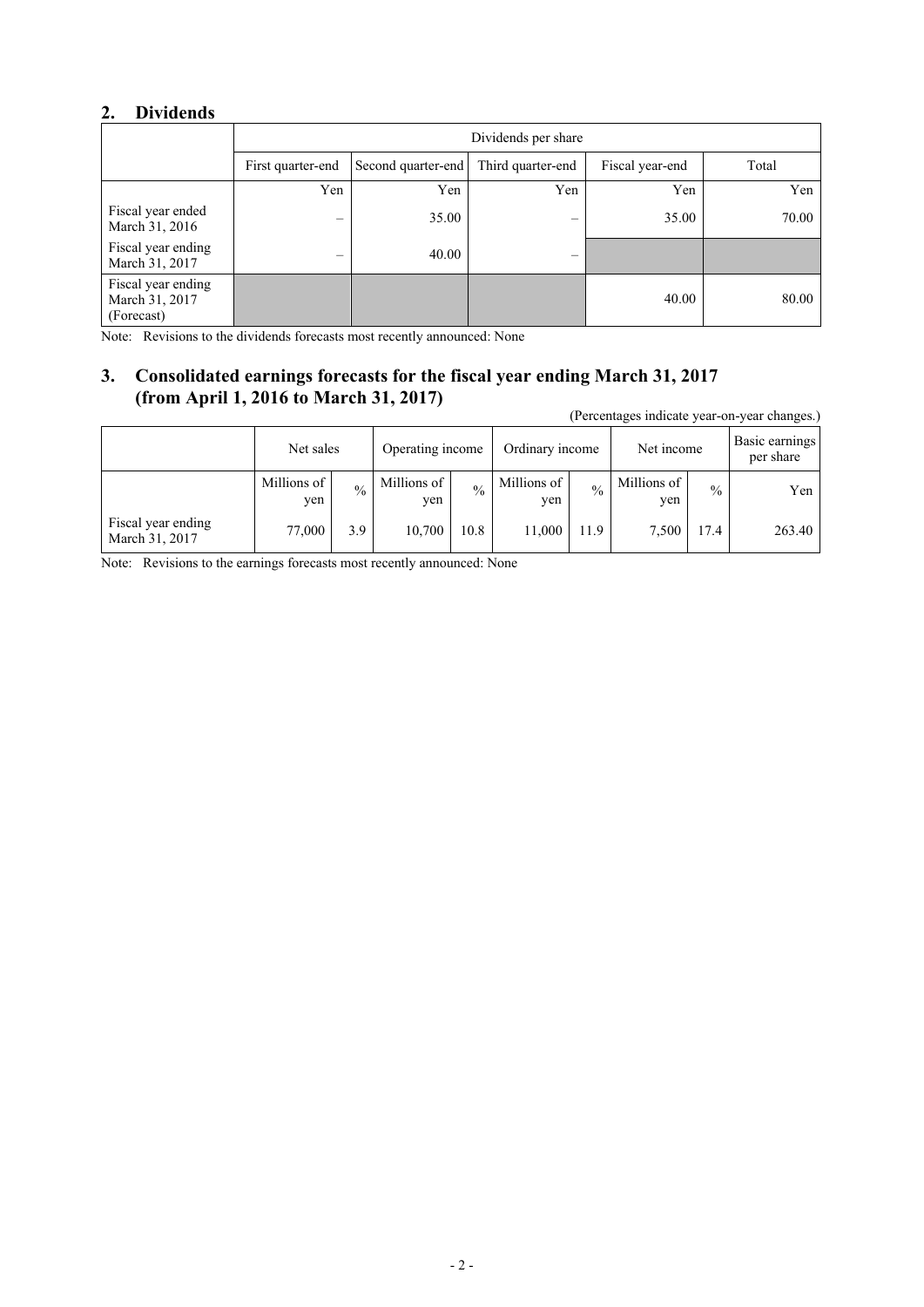## **2. Dividends**

|                                                    | Dividends per share |                    |                   |                 |       |  |  |  |
|----------------------------------------------------|---------------------|--------------------|-------------------|-----------------|-------|--|--|--|
|                                                    | First quarter-end   | Second quarter-end | Third quarter-end | Fiscal year-end | Total |  |  |  |
|                                                    | Yen                 | Yen                | Yen               | Yen             | Yen   |  |  |  |
| Fiscal year ended<br>March 31, 2016                |                     | 35.00              | –                 | 35.00           | 70.00 |  |  |  |
| Fiscal year ending<br>March 31, 2017               | –                   | 40.00              |                   |                 |       |  |  |  |
| Fiscal year ending<br>March 31, 2017<br>(Forecast) |                     |                    |                   | 40.00           | 80.00 |  |  |  |

Note: Revisions to the dividends forecasts most recently announced: None

# **3. Consolidated earnings forecasts for the fiscal year ending March 31, 2017 (from April 1, 2016 to March 31, 2017)**

(Percentages indicate year-on-year changes.)

|                                      | Net sales          |               | Operating income   |               | Ordinary income    |             | Net income         |               | Basic earnings<br>per share |
|--------------------------------------|--------------------|---------------|--------------------|---------------|--------------------|-------------|--------------------|---------------|-----------------------------|
|                                      | Millions of<br>ven | $\frac{0}{0}$ | Millions of<br>yen | $\frac{0}{0}$ | Millions of<br>ven | $^{0}/_{0}$ | Millions of<br>yen | $\frac{0}{0}$ | Yen                         |
| Fiscal year ending<br>March 31, 2017 | 77,000             | 3.9           | 10,700             | 10.8          | 11,000             | 11.9        | 7.500              | 17.4          | 263.40                      |

Note: Revisions to the earnings forecasts most recently announced: None